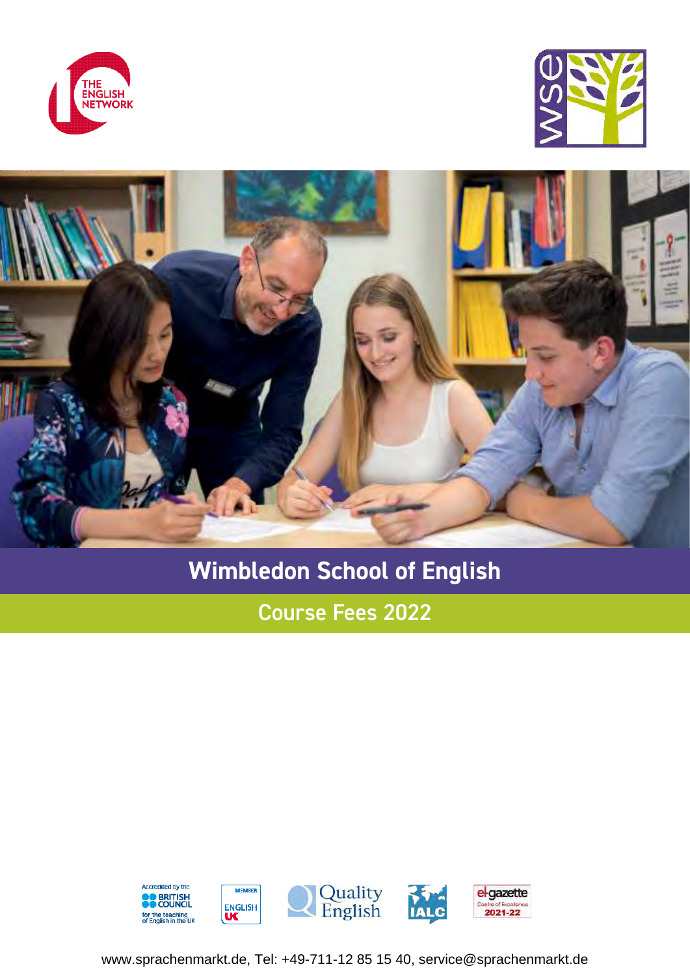





# **Wimbledon School of English**

Course Fees 2022



www.sprachenmarkt.de, Tel: +49-711-12 85 15 40, service@sprachenmarkt.de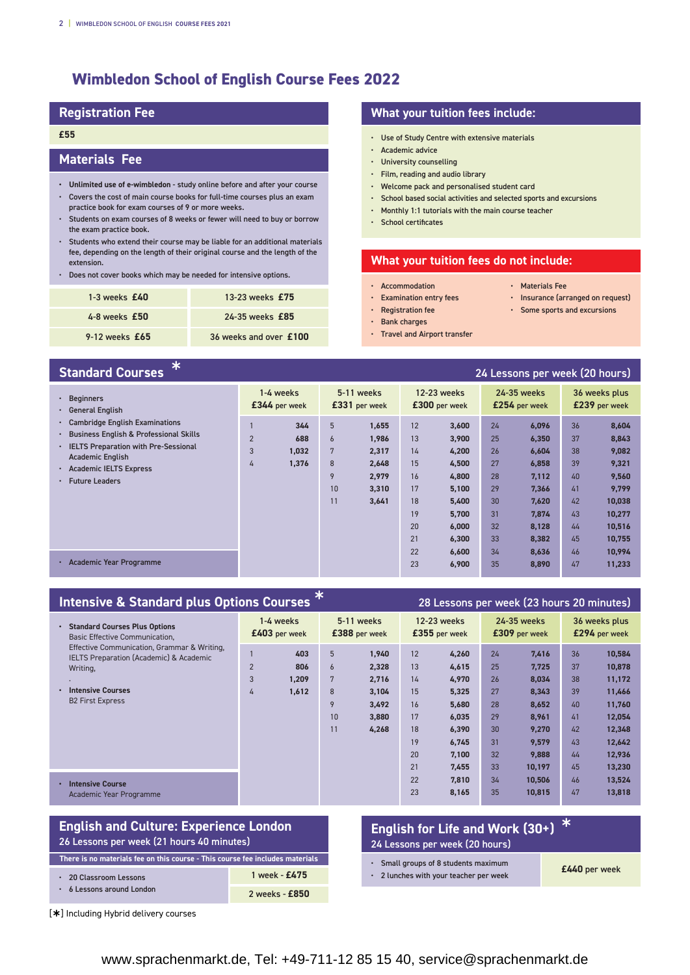## **Wimbledon School of English Course Fees 2022**

#### **Registration Fee**

#### **£55**

#### **Materials Fee**

- **Unlimited use of e-wimbledon** study online before and after your course • Covers the cost of main course books for full-time courses plus an exam
- practice book for exam courses of 9 or more weeks. • Students on exam courses of 8 weeks or fewer will need to buy or borrow the exam practice book.
- Students who extend their course may be liable for an additional materials fee, depending on the length of their original course and the length of the extension.
- Does not cover books which may be needed for intensive options.

| $1-3$ weeks $£40$  | 13-23 weeks $£75$      |
|--------------------|------------------------|
| $4-8$ weeks $£50$  | 24-35 weeks £85        |
| $9-12$ weeks $£65$ | 36 weeks and over £100 |

#### **What your tuition fees include:**

- Use of Study Centre with extensive materials
- Academic advice
- University counselling
- Film, reading and audio library
- Welcome pack and personalised student card
- School based social activities and selected sports and excursions
- Monthly 1:1 tutorials with the main course teacher
- School certificates

#### **What your tuition fees do not include:**

- Accommodation
- Materials Fee
- Examination entry fees • Registration fee
- Insurance (arranged on request)
- Some sports and excursions
- Bank charges
- Travel and Airport transfer

### **Standard Courses** <sup>Ý</sup> 24 Lessons per week (20 hours)

| $\cdot$ Beginners<br>$\cdot$ General English                                                                                                                                                      | 1-4 weeks<br>£344 per week                               | 5-11 weeks<br>£331 per week                                                                                                | <b>12-23 weeks</b><br>£300 per week                                                                                                                | 24-35 weeks<br>£254 per week                                                                                                                       | 36 weeks plus<br>£239 per week                                                                                                                         |
|---------------------------------------------------------------------------------------------------------------------------------------------------------------------------------------------------|----------------------------------------------------------|----------------------------------------------------------------------------------------------------------------------------|----------------------------------------------------------------------------------------------------------------------------------------------------|----------------------------------------------------------------------------------------------------------------------------------------------------|--------------------------------------------------------------------------------------------------------------------------------------------------------|
| • Cambridge English Examinations<br>· Business English & Professional Skills<br>• IELTS Preparation with Pre-Sessional<br><b>Academic English</b><br>· Academic IELTS Express<br>· Future Leaders | 344<br>$\overline{2}$<br>688<br>3<br>1,032<br>1,376<br>4 | $5\phantom{.}$<br>1,655<br>1,986<br>$\overline{6}$<br>7<br>2,317<br>8<br>2,648<br>9<br>2,979<br>10<br>3,310<br>11<br>3,641 | 12<br>3,600<br>13<br>3,900<br>14<br>4,200<br>15<br>4,500<br>16<br>4,800<br>17<br>5,100<br>18<br>5,400<br>19<br>5,700<br>20<br>6,000<br>21<br>6,300 | 24<br>6,096<br>25<br>6,350<br>26<br>6,604<br>27<br>6,858<br>28<br>7,112<br>29<br>7.366<br>30<br>7,620<br>31<br>7,874<br>32<br>8.128<br>33<br>8,382 | 36<br>8,604<br>37<br>8,843<br>38<br>9,082<br>39<br>9,321<br>40<br>9,560<br>41<br>9,799<br>42<br>10,038<br>43<br>10,277<br>10,516<br>44<br>45<br>10,755 |
| • Academic Year Programme                                                                                                                                                                         |                                                          |                                                                                                                            | 22<br>6,600<br>23<br>6,900                                                                                                                         | 34<br>8,636<br>35<br>8,890                                                                                                                         | 46<br>10,994<br>47<br>11,233                                                                                                                           |

| <b>Intensive &amp; Standard plus Options Courses</b><br>28 Lessons per week (23 hours 20 minutes)                                                         |                            |                              |                                                |                                                             |                                        |                                                             |                                        |                                                             |                                        |                                                                    |
|-----------------------------------------------------------------------------------------------------------------------------------------------------------|----------------------------|------------------------------|------------------------------------------------|-------------------------------------------------------------|----------------------------------------|-------------------------------------------------------------|----------------------------------------|-------------------------------------------------------------|----------------------------------------|--------------------------------------------------------------------|
| <b>Standard Courses Plus Options</b><br>Basic Effective Communication,                                                                                    | 1-4 weeks<br>£403 per week |                              |                                                | 5-11 weeks<br>£388 per week                                 |                                        | <b>12-23 weeks</b><br>£355 per week                         |                                        | 24-35 weeks<br>£309 per week                                |                                        | 36 weeks plus<br>£294 per week                                     |
| Effective Communication, Grammar & Writing,<br>IELTS Preparation (Academic) & Academic<br>Writing,<br><b>Intensive Courses</b><br><b>B2 First Express</b> | $\overline{2}$<br>3<br>4   | 403<br>806<br>1,209<br>1,612 | 5<br>$\overline{6}$<br>7<br>8<br>9<br>10<br>11 | 1.940<br>2,328<br>2,716<br>3,104<br>3,492<br>3,880<br>4.268 | 12<br>13<br>14<br>15<br>16<br>17<br>18 | 4,260<br>4,615<br>4.970<br>5,325<br>5.680<br>6,035<br>6.390 | 24<br>25<br>26<br>27<br>28<br>29<br>30 | 7,416<br>7,725<br>8.034<br>8,343<br>8.652<br>8.961<br>9.270 | 36<br>37<br>38<br>39<br>40<br>41<br>42 | 10,584<br>10,878<br>11,172<br>11,466<br>11,760<br>12,054<br>12,348 |
| <b>Intensive Course</b><br>$\bullet$<br>Academic Year Programme                                                                                           |                            |                              |                                                |                                                             | 19<br>20<br>21<br>22<br>23             | 6,745<br>7.100<br>7,455<br>7.810<br>8,165                   | 31<br>32<br>33<br>34<br>35             | 9,579<br>9,888<br>10,197<br>10,506<br>10,815                | 43<br>44<br>45<br>46<br>47             | 12,642<br>12,936<br>13,230<br>13,524<br>13,818                     |
|                                                                                                                                                           |                            |                              |                                                |                                                             |                                        |                                                             |                                        |                                                             |                                        |                                                                    |

| <b>English and Culture: Experience London</b><br>26 Lessons per week (21 hours 40 minutes) |  |  |  |  |
|--------------------------------------------------------------------------------------------|--|--|--|--|
| There is no materials fee on this course - This course fee includes materials              |  |  |  |  |
| 1 week - $£475$<br>20 Classroom Lessons                                                    |  |  |  |  |

### **English for Life and Work (30+)** <sup>Ý</sup> 24 Lessons per week (20 hours)

- - Small groups of 8 students maximum<br> **E440** per week • 2 lunches with your teacher per week

[Ý] Including Hybrid delivery courses

• 6 Lessons around London

2 weeks - **£850**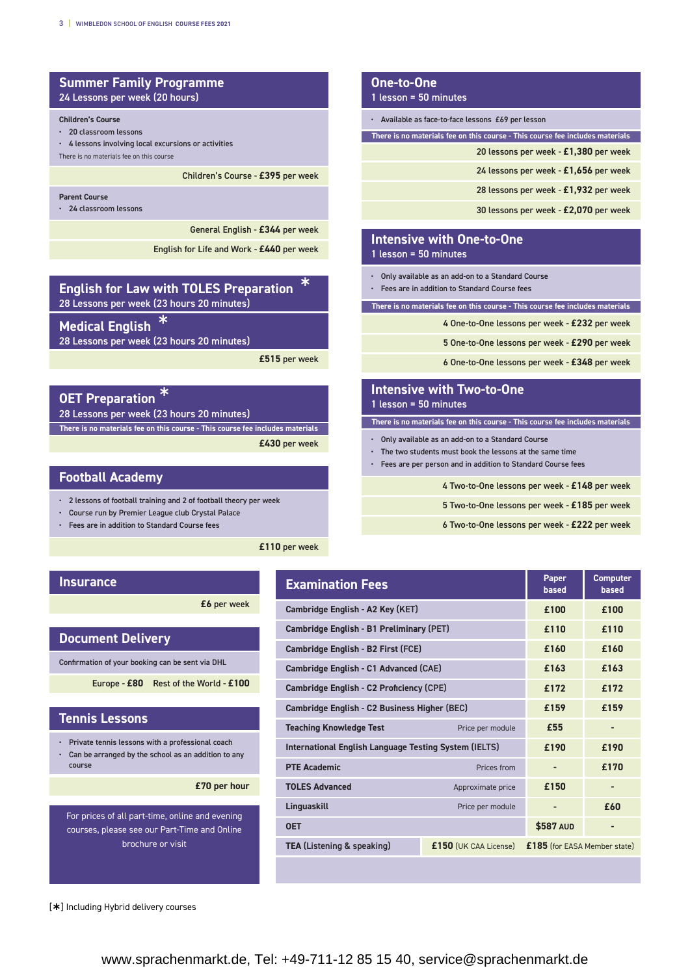#### **Summer Family Programme** 24 Lessons per week (20 hours)

#### **Children's Course**

- 20 classroom lessons
- 4 lessons involving local excursions or activities
- There is no materials fee on this course

Children's Course - **£395** per week

#### **Parent Course**

• 24 classroom lessons

General English - **£344** per week

English for Life and Work - **£440** per week

| <b>English for Law with TOLES Preparation</b> | $\ast$ |
|-----------------------------------------------|--------|
| 28 Lessons per week (23 hours 20 minutes)     |        |

**Medical English** 

28 Lessons per week (23 hours 20 minutes)

**£515** per week

| <b>OET Preparation</b>                                                        |
|-------------------------------------------------------------------------------|
| 28 Lessons per week (23 hours 20 minutes)                                     |
| There is no materials fee on this course - This course fee includes materials |
| £430 per week                                                                 |

### **Football Academy**

- 2 lessons of football training and 2 of football theory per week
- Course run by Premier League club Crystal Palace
- Fees are in addition to Standard Course fees

**£110** per week

#### **Insurance**

**£6** per week

### **Document Delivery**

Confirmation of your booking can be sent via DHL

Europe - **£80** Rest of the World - **£100**

#### **Tennis Lessons**

- Private tennis lessons with a professional coach
- Can be arranged by the school as an addition to any course

**£70 per hour**

For prices of all part-time, online and evening courses, please see our Part-Time and Online brochure or visit

| One-to-One                                         |
|----------------------------------------------------|
| 1 lesson = $50$ minutes                            |
| · Available as face-to-face lessons £69 per lesson |

| no materials fee on this course - This course fee includes materials<br>20 lessons per week - £1,380 per week<br>24 lessons per week - £1,656 per week<br>28 lessons per week - £1,932 per week<br>30 lessons per week - £2,070 per week |  |
|------------------------------------------------------------------------------------------------------------------------------------------------------------------------------------------------------------------------------------------|--|
|                                                                                                                                                                                                                                          |  |
|                                                                                                                                                                                                                                          |  |
|                                                                                                                                                                                                                                          |  |
|                                                                                                                                                                                                                                          |  |
|                                                                                                                                                                                                                                          |  |
|                                                                                                                                                                                                                                          |  |

### **Intensive with One-to-One**

1 lesson = 50 minutes

**There is** 

- Only available as an add-on to a Standard Course
- Fees are in addition to Standard Course fees

**There is no materials fee on this course - This course fee includes materials**

- 4 One-to-One lessons per week **£232** per week
- 5 One-to-One lessons per week **£290** per week

6 One-to-One lessons per week - **£348** per week

#### **Intensive with Two-to-One** 1 lesson = 50 minutes

**There is no materials fee on this course - This course fee includes materials**

- Only available as an add-on to a Standard Course
- The two students must book the lessons at the same time
- Fees are per person and in addition to Standard Course fees

4 Two-to-One lessons per week - **£148** per week

- 5 Two-to-One lessons per week **£185** per week
- 6 Two-to-One lessons per week **£222** per week

| <b>Examination Fees</b>                               | Paper<br>based        | <b>Computer</b><br>based     |      |
|-------------------------------------------------------|-----------------------|------------------------------|------|
| Cambridge English - A2 Key (KET)                      |                       | £100                         | £100 |
| Cambridge English - B1 Preliminary (PET)              |                       | £110                         | £110 |
| Cambridge English - B2 First (FCE)                    |                       | £160                         | £160 |
| Cambridge English - C1 Advanced (CAE)                 |                       | £163                         | £163 |
| Cambridge English - C2 Proficiency (CPE)              |                       | £172                         | £172 |
| Cambridge English - C2 Business Higher (BEC)          |                       | £159                         | £159 |
| <b>Teaching Knowledge Test</b>                        | Price per module      | £55                          |      |
| International English Language Testing System (IELTS) |                       | £190                         | £190 |
| <b>PTE Academic</b>                                   | Prices from           |                              | £170 |
| <b>TOLES Advanced</b>                                 | Approximate price     | £150                         |      |
| Linguaskill                                           | Price per module      |                              | £60  |
| <b>OET</b>                                            |                       | \$587 AUD                    |      |
| <b>TEA (Listening &amp; speaking)</b>                 | £150 (UK CAA License) | £185 (for EASA Member state) |      |

[Ý] Including Hybrid delivery courses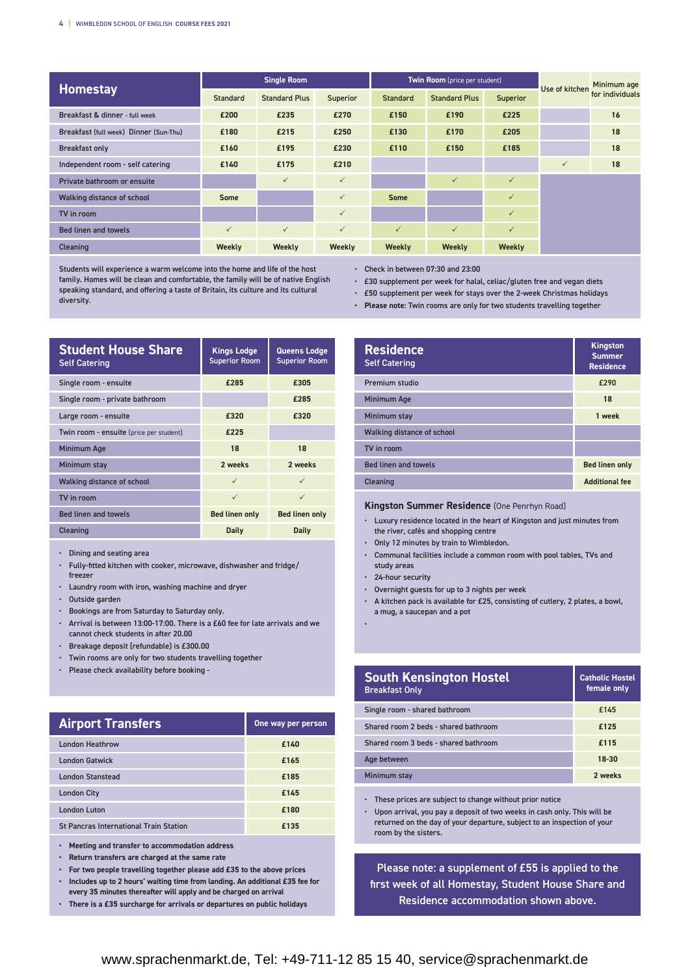|                                        | <b>Single Room</b> |                      | Twin Room (price per student) |                 |                      | Use of kitchen | Minimum age  |                 |
|----------------------------------------|--------------------|----------------------|-------------------------------|-----------------|----------------------|----------------|--------------|-----------------|
| <b>Homestay</b>                        | <b>Standard</b>    | <b>Standard Plus</b> | Superior                      | <b>Standard</b> | <b>Standard Plus</b> | Superior       |              | for individuals |
| Breakfast & dinner - full week         | £200               | £235                 | £270                          | £150            | £190                 | £225           |              | 16              |
| Breakfast (full week) Dinner (Sun-Thu) | £180               | £215                 | £250                          | £130            | £170                 | £205           |              | 18              |
| <b>Breakfast only</b>                  | £160               | £195                 | £230                          | £110            | £150                 | £185           |              | 18              |
| Independent room - self catering       | £140               | £175                 | £210                          |                 |                      |                | $\checkmark$ | 18              |
| Private bathroom or ensuite            |                    | $\checkmark$         | $\checkmark$                  |                 | $\checkmark$         | $\checkmark$   |              |                 |
| Walking distance of school             | <b>Some</b>        |                      | $\checkmark$                  | <b>Some</b>     |                      | $\checkmark$   |              |                 |
| TV in room                             |                    |                      | $\checkmark$                  |                 |                      | $\checkmark$   |              |                 |
| <b>Bed linen and towels</b>            | $\checkmark$       | $\checkmark$         | $\checkmark$                  | $\checkmark$    | $\checkmark$         | $\checkmark$   |              |                 |
| Cleaning                               | Weekly             | Weekly               | Weekly                        | <b>Weekly</b>   | <b>Weekly</b>        | <b>Weekly</b>  |              |                 |

Students will experience a warm welcome into the home and life of the host family. Homes will be clean and comfortable, the family will be of native English speaking standard, and offering a taste of Britain, its culture and its cultural diversity.

• Check in between 07:30 and 23:00

- £30 supplement per week for halal, celiac/gluten free and vegan diets
- £50 supplement per week for stays over the 2-week Christmas holidays
- **Please note:** Twin rooms are only for two students travelling together

| <b>Student House Share</b><br><b>Self Catering</b> | <b>Kings Lodge</b><br><b>Superior Room</b> | <b>Queens Lodge</b><br><b>Superior Room</b> |
|----------------------------------------------------|--------------------------------------------|---------------------------------------------|
| Single room - ensuite                              | £285                                       | £305                                        |
| Single room - private bathroom                     |                                            | £285                                        |
| Large room - ensuite                               | £320                                       | £320                                        |
| Twin room - ensuite (price per student)            | £225                                       |                                             |
| Minimum Age                                        | 18                                         | 18                                          |
| Minimum stay                                       | 2 weeks                                    | 2 weeks                                     |
| <b>Walking distance of school</b>                  | $\checkmark$                               | $\checkmark$                                |
| TV in room                                         | $\checkmark$                               | ✓                                           |
| <b>Bed linen and towels</b>                        | <b>Bed linen only</b>                      | <b>Bed linen only</b>                       |
| Cleaning                                           | Daily                                      | Daily                                       |

- Dining and seating area
- Fully-fitted kitchen with cooker, microwave, dishwasher and fridge/ freezer
- Laundry room with iron, washing machine and dryer
- Outside garden
- Bookings are from Saturday to Saturday only.
- Arrival is between 13:00-17:00. There is a £60 fee for late arrivals and we cannot check students in after 20.00
- Breakage deposit (refundable) is £300.00
- Twin rooms are only for two students travelling together
- Please check availability before booking -

| <b>Airport Transfers</b>                      | One way per person |
|-----------------------------------------------|--------------------|
| <b>London Heathrow</b>                        | £140               |
| <b>London Gatwick</b>                         | £165               |
| <b>London Stanstead</b>                       | £185               |
| <b>London City</b>                            | £145               |
| <b>London Luton</b>                           | £180               |
| <b>St Pancras International Train Station</b> | £135               |

**• Meeting and transfer to accommodation address**

- **Return transfers are charged at the same rate**
- **For two people travelling together please add £35 to the above prices • Includes up to 2 hours' waiting time from landing. An additional £35 fee for**
- **every 35 minutes thereafter will apply and be charged on arrival**
- **There is a £35 surcharge for arrivals or departures on public holidays**

| <b>Residence</b><br><b>Self Catering</b> | <b>Kingston</b><br><b>Summer</b><br><b>Residence</b> |
|------------------------------------------|------------------------------------------------------|
| Premium studio                           | £290                                                 |
| Minimum Age                              | 18                                                   |
| Minimum stay                             | 1 week                                               |
| <b>Walking distance of school</b>        |                                                      |
| TV in room                               |                                                      |
| <b>Bed linen and towels</b>              | <b>Bed linen only</b>                                |
| Cleaning                                 | <b>Additional fee</b>                                |

**Kingston Summer Residence** (One Penrhyn Road)

- Luxury residence located in the heart of Kingston and just minutes from the river, cafés and shopping centre
- Only 12 minutes by train to Wimbledon.
- Communal facilities include a common room with pool tables, TVs and study areas
- 24-hour security

•

- Overnight guests for up to 3 nights per week
- A kitchen pack is available for £25, consisting of cutlery, 2 plates, a bowl, a mug, a saucepan and a pot

| <b>South Kensington Hostel</b><br><b>Breakfast Only</b> | <b>Catholic Hostel</b><br>female only |
|---------------------------------------------------------|---------------------------------------|
| Single room - shared bathroom                           | £145                                  |
| Shared room 2 beds - shared bathroom                    | £125                                  |
| Shared room 3 beds - shared bathroom                    | £115                                  |
| Age between                                             | $18 - 30$                             |
| Minimum stay                                            | 2 weeks                               |

• These prices are subject to change without prior notice

• Upon arrival, you pay a deposit of two weeks in cash only. This will be returned on the day of your departure, subject to an inspection of your room by the sisters.

Please note: a supplement of £55 is applied to the first week of all Homestay, Student House Share and Residence accommodation shown above.